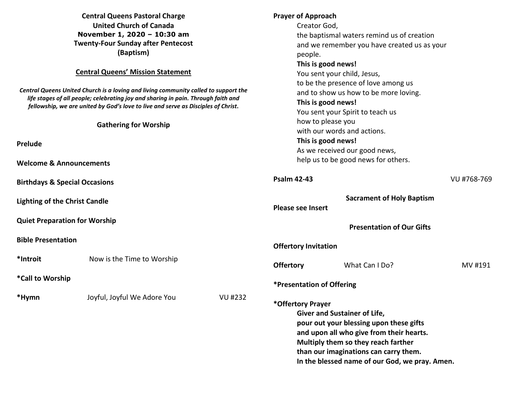| <b>Central Queens Pastoral Charge</b>     |
|-------------------------------------------|
| <b>United Church of Canada</b>            |
| November 1, 2020 - 10:30 am               |
| <b>Twenty-Four Sunday after Pentecost</b> |
| (Baptism)                                 |

### **Central Queens' Mission Statement**

*Central Queens United Church is a loving and living community called to support the life stages of all people; celebrating joy and sharing in pain. Through faith and fellowship, we are united by God's love to live and serve as Disciples of Christ***.** 

#### **Gathering for Worship**

**Prelude** 

**Welcome & Announcements** 

**Birthdays & Special Occasions** 

**Lighting of the Christ Candle** 

**Quiet Preparation for Worship** 

**Bible Presentation** 

**\*Call to Worship** 

**\*Hymn** Joyful, Joyful We Adore You VU #232

## **Prayer of Approach**

Creator God,

 the baptismal waters remind us of creation and we remember you have created us as your people.

## **This is good news!**

 You sent your child, Jesus, to be the presence of love among us and to show us how to be more loving. **This is good news!** You sent your Spirit to teach us how to please you with our words and actions. **This is good news!**  As we received our good news, help us to be good news for others.

# **Psalm 42-43** VU #768-769 **Sacrament of Holy Baptism Please see Insert Presentation of Our Gifts Offertory Invitation Offertory** What Can I Do? MV #191 **\*Presentation of Offering \*Offertory Prayer Giver and Sustainer of Life, pour out your blessing upon these gifts and upon all who give from their hearts. Multiply them so they reach farther than our imaginations can carry them.**

**In the blessed name of our God, we pray. Amen.**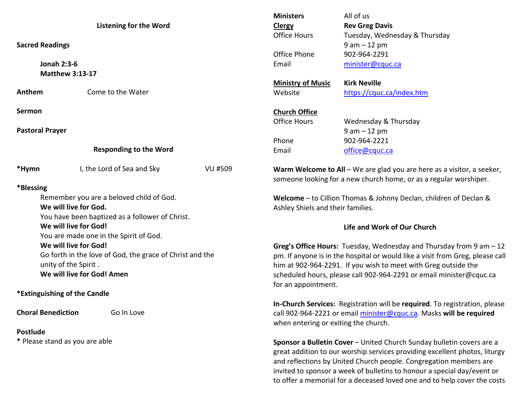|                                                          |                                                 |                                                                     | <b>Ministers</b>                                                              | All of us                                                                  |  |
|----------------------------------------------------------|-------------------------------------------------|---------------------------------------------------------------------|-------------------------------------------------------------------------------|----------------------------------------------------------------------------|--|
| <b>Listening for the Word</b>                            |                                                 |                                                                     | <b>Clergy</b>                                                                 | <b>Rev Greg Davis</b>                                                      |  |
|                                                          |                                                 |                                                                     | <b>Office Hours</b>                                                           | Tuesday, Wednesday & Thursday                                              |  |
| <b>Sacred Readings</b>                                   |                                                 |                                                                     |                                                                               | $9 am - 12 pm$                                                             |  |
|                                                          |                                                 |                                                                     | Office Phone                                                                  | 902-964-2291                                                               |  |
| <b>Jonah 2:3-6</b>                                       |                                                 |                                                                     | Email                                                                         | minister@cquc.ca                                                           |  |
|                                                          | <b>Matthew 3:13-17</b>                          |                                                                     |                                                                               |                                                                            |  |
|                                                          |                                                 |                                                                     | <b>Ministry of Music</b>                                                      | <b>Kirk Neville</b>                                                        |  |
| Anthem                                                   | Come to the Water                               |                                                                     | Website                                                                       | https://cquc.ca/index.htm                                                  |  |
| Sermon                                                   |                                                 |                                                                     | <b>Church Office</b>                                                          |                                                                            |  |
|                                                          |                                                 |                                                                     | <b>Office Hours</b>                                                           | Wednesday & Thursday                                                       |  |
| <b>Pastoral Prayer</b>                                   |                                                 |                                                                     |                                                                               | $9 am - 12 pm$                                                             |  |
|                                                          |                                                 |                                                                     | Phone                                                                         | 902-964-2221                                                               |  |
|                                                          | <b>Responding to the Word</b>                   |                                                                     | Email                                                                         | office@cquc.ca                                                             |  |
| *Hymn                                                    | I, the Lord of Sea and Sky                      | <b>VU #509</b>                                                      | Warm Welcome to All - We are glad you are here as a visitor, a seeker,        |                                                                            |  |
|                                                          |                                                 |                                                                     | someone looking for a new church home, or as a regular worshiper.             |                                                                            |  |
| *Blessing                                                |                                                 |                                                                     |                                                                               |                                                                            |  |
| Remember you are a beloved child of God.                 |                                                 |                                                                     | Welcome - to Cillion Thomas & Johnny Declan, children of Declan &             |                                                                            |  |
| We will live for God.                                    |                                                 |                                                                     | Ashley Shiels and their families.                                             |                                                                            |  |
|                                                          | You have been baptized as a follower of Christ. |                                                                     |                                                                               |                                                                            |  |
| We will live for God!                                    |                                                 |                                                                     | Life and Work of Our Church                                                   |                                                                            |  |
|                                                          | You are made one in the Spirit of God.          |                                                                     |                                                                               |                                                                            |  |
|                                                          | We will live for God!                           |                                                                     | Greg's Office Hours: Tuesday, Wednesday and Thursday from 9 am - 12           |                                                                            |  |
| Go forth in the love of God, the grace of Christ and the |                                                 |                                                                     | pm. If anyone is in the hospital or would like a visit from Greg, please call |                                                                            |  |
| unity of the Spirit.                                     |                                                 |                                                                     | him at 902-964-2291. If you wish to meet with Greg outside the                |                                                                            |  |
| We will live for God! Amen                               |                                                 |                                                                     | scheduled hours, please call 902-964-2291 or email minister@cquc.ca           |                                                                            |  |
|                                                          |                                                 |                                                                     | for an appointment.                                                           |                                                                            |  |
| *Extinguishing of the Candle                             |                                                 |                                                                     |                                                                               |                                                                            |  |
|                                                          |                                                 |                                                                     |                                                                               | In-Church Services: Registration will be required. To registration, please |  |
| <b>Choral Benediction</b><br>Go In Love                  |                                                 | call 902-964-2221 or email minister@cquc.ca. Masks will be required |                                                                               |                                                                            |  |
|                                                          |                                                 |                                                                     | when entering or exiting the church.                                          |                                                                            |  |
| <b>Postlude</b>                                          |                                                 |                                                                     |                                                                               |                                                                            |  |
| * Please stand as you are able                           |                                                 |                                                                     | Sponsor a Bulletin Cover - United Church Sunday bulletin covers are a         |                                                                            |  |
|                                                          |                                                 |                                                                     | great addition to our worship services providing excellent photos, liturgy    |                                                                            |  |
|                                                          |                                                 |                                                                     |                                                                               | and reflections by United Church people. Congregation members are          |  |
|                                                          |                                                 |                                                                     | invited to sponsor a week of bulletins to honour a special day/event or       |                                                                            |  |

to offer a memorial for a deceased loved one and to help cover the costs